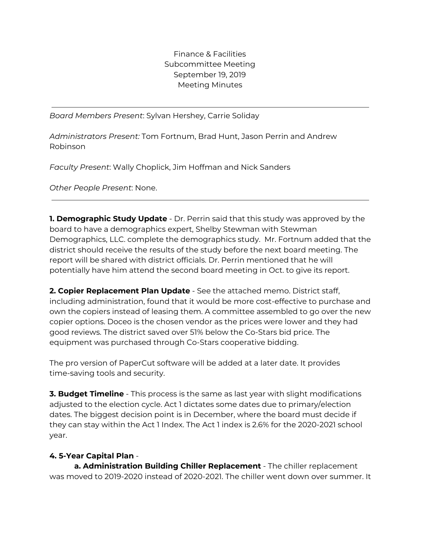Finance & Facilities Subcommittee Meeting September 19, 2019 Meeting Minutes

*Board Members Present*: Sylvan Hershey, Carrie Soliday

*Administrators Present:* Tom Fortnum, Brad Hunt, Jason Perrin and Andrew Robinson

*Faculty Present*: Wally Choplick, Jim Hoffman and Nick Sanders

*Other People Present*: None.

**1. Demographic Study Update** - Dr. Perrin said that this study was approved by the board to have a demographics expert, Shelby Stewman with Stewman Demographics, LLC. complete the demographics study. Mr. Fortnum added that the district should receive the results of the study before the next board meeting. The report will be shared with district officials. Dr. Perrin mentioned that he will potentially have him attend the second board meeting in Oct. to give its report.

**2. Copier Replacement Plan Update** - See the attached memo. District staff, including administration, found that it would be more cost-effective to purchase and own the copiers instead of leasing them. A committee assembled to go over the new copier options. Doceo is the chosen vendor as the prices were lower and they had good reviews. The district saved over 51% below the Co-Stars bid price. The equipment was purchased through Co-Stars cooperative bidding.

The pro version of PaperCut software will be added at a later date. It provides time-saving tools and security.

**3. Budget Timeline** - This process is the same as last year with slight modifications adjusted to the election cycle. Act 1 dictates some dates due to primary/election dates. The biggest decision point is in December, where the board must decide if they can stay within the Act 1 Index. The Act 1 index is 2.6% for the 2020-2021 school year.

## **4. 5-Year Capital Plan** -

**a. Administration Building Chiller Replacement** - The chiller replacement was moved to 2019-2020 instead of 2020-2021. The chiller went down over summer. It